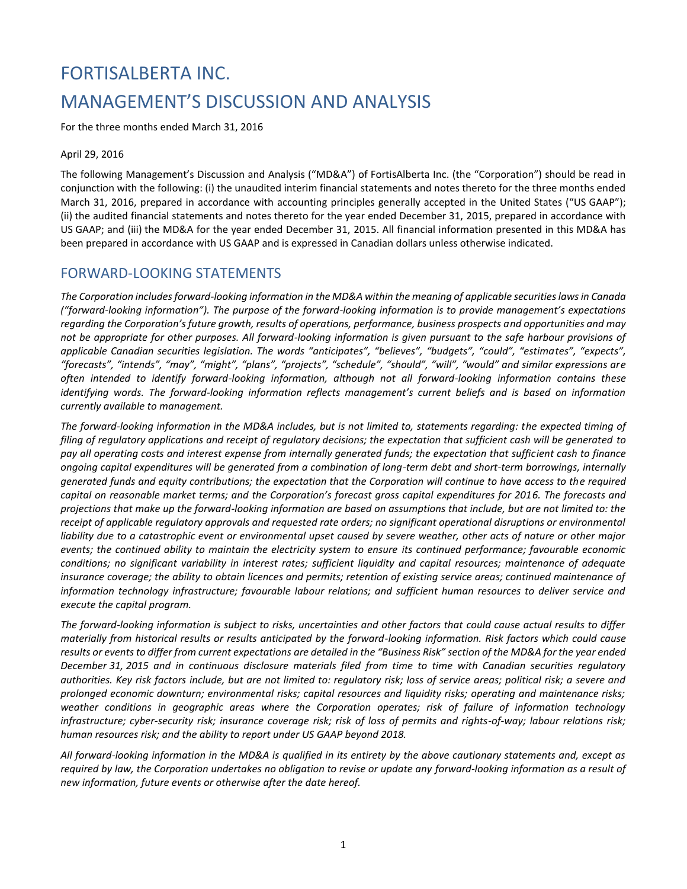# FORTISALBERTA INC. MANAGEMENT'S DISCUSSION AND ANALYSIS

For the three months ended March 31, 2016

#### April 29, 2016

The following Management's Discussion and Analysis ("MD&A") of FortisAlberta Inc. (the "Corporation") should be read in conjunction with the following: (i) the unaudited interim financial statements and notes thereto for the three months ended March 31, 2016, prepared in accordance with accounting principles generally accepted in the United States ("US GAAP"); (ii) the audited financial statements and notes thereto for the year ended December 31, 2015, prepared in accordance with US GAAP; and (iii) the MD&A for the year ended December 31, 2015. All financial information presented in this MD&A has been prepared in accordance with US GAAP and is expressed in Canadian dollars unless otherwise indicated.

### FORWARD-LOOKING STATEMENTS

*The Corporation includes forward-looking information in the MD&A within the meaning of applicable securities laws in Canada ("forward-looking information"). The purpose of the forward-looking information is to provide management's expectations regarding the Corporation's future growth, results of operations, performance, business prospects and opportunities and may not be appropriate for other purposes. All forward-looking information is given pursuant to the safe harbour provisions of applicable Canadian securities legislation. The words "anticipates", "believes", "budgets", "could", "estimates", "expects", "forecasts", "intends", "may", "might", "plans", "projects", "schedule", "should", "will", "would" and similar expressions are often intended to identify forward-looking information, although not all forward-looking information contains these identifying words. The forward-looking information reflects management's current beliefs and is based on information currently available to management.*

*The forward-looking information in the MD&A includes, but is not limited to, statements regarding: the expected timing of filing of regulatory applications and receipt of regulatory decisions; the expectation that sufficient cash will be generated to pay all operating costs and interest expense from internally generated funds; the expectation that sufficient cash to finance ongoing capital expenditures will be generated from a combination of long-term debt and short-term borrowings, internally generated funds and equity contributions; the expectation that the Corporation will continue to have access to the required capital on reasonable market terms; and the Corporation's forecast gross capital expenditures for 2016. The forecasts and projections that make up the forward-looking information are based on assumptions that include, but are not limited to: the receipt of applicable regulatory approvals and requested rate orders; no significant operational disruptions or environmental liability due to a catastrophic event or environmental upset caused by severe weather, other acts of nature or other major events; the continued ability to maintain the electricity system to ensure its continued performance; favourable economic conditions; no significant variability in interest rates; sufficient liquidity and capital resources; maintenance of adequate insurance coverage; the ability to obtain licences and permits; retention of existing service areas; continued maintenance of information technology infrastructure; favourable labour relations; and sufficient human resources to deliver service and execute the capital program.* 

*The forward-looking information is subject to risks, uncertainties and other factors that could cause actual results to differ materially from historical results or results anticipated by the forward-looking information. Risk factors which could cause results or events to differ from current expectations are detailed in the "Business Risk" section of the MD&A for the year ended December 31, 2015 and in continuous disclosure materials filed from time to time with Canadian securities regulatory authorities. Key risk factors include, but are not limited to: regulatory risk; loss of service areas; political risk; a severe and prolonged economic downturn; environmental risks; capital resources and liquidity risks; operating and maintenance risks; weather conditions in geographic areas where the Corporation operates; risk of failure of information technology infrastructure; cyber-security risk; insurance coverage risk; risk of loss of permits and rights-of-way; labour relations risk; human resources risk; and the ability to report under US GAAP beyond 2018.*

*All forward-looking information in the MD&A is qualified in its entirety by the above cautionary statements and, except as required by law, the Corporation undertakes no obligation to revise or update any forward-looking information as a result of new information, future events or otherwise after the date hereof.*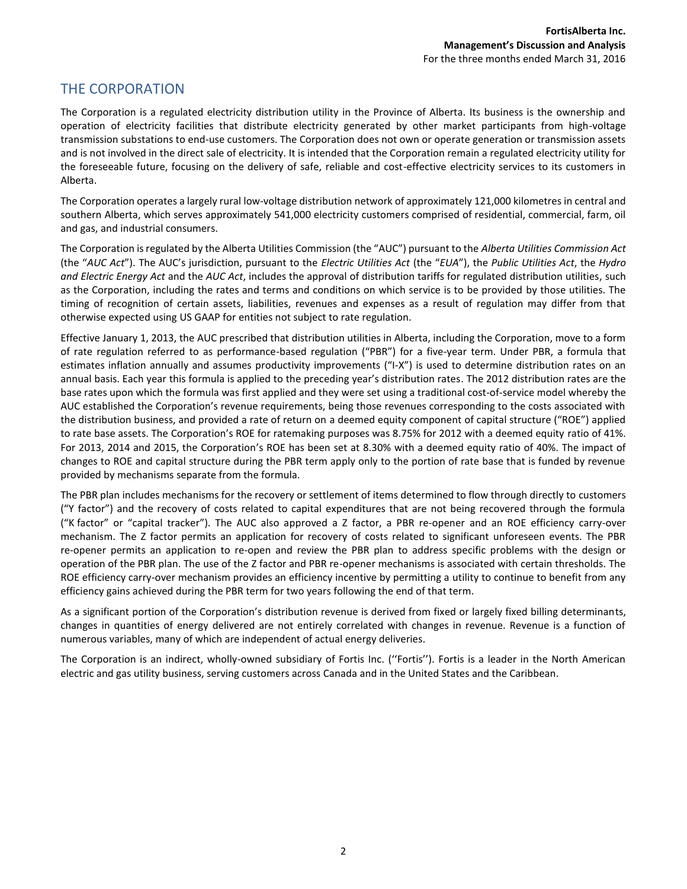### THE CORPORATION

The Corporation is a regulated electricity distribution utility in the Province of Alberta. Its business is the ownership and operation of electricity facilities that distribute electricity generated by other market participants from high-voltage transmission substations to end-use customers. The Corporation does not own or operate generation or transmission assets and is not involved in the direct sale of electricity. It is intended that the Corporation remain a regulated electricity utility for the foreseeable future, focusing on the delivery of safe, reliable and cost-effective electricity services to its customers in Alberta.

The Corporation operates a largely rural low-voltage distribution network of approximately 121,000 kilometres in central and southern Alberta, which serves approximately 541,000 electricity customers comprised of residential, commercial, farm, oil and gas, and industrial consumers.

The Corporation is regulated by the Alberta Utilities Commission (the "AUC") pursuant to the *Alberta Utilities Commission Act* (the "*AUC Act*"). The AUC's jurisdiction, pursuant to the *Electric Utilities Act* (the "*EUA*"), the *Public Utilities Act*, the *Hydro and Electric Energy Act* and the *AUC Act*, includes the approval of distribution tariffs for regulated distribution utilities, such as the Corporation, including the rates and terms and conditions on which service is to be provided by those utilities. The timing of recognition of certain assets, liabilities, revenues and expenses as a result of regulation may differ from that otherwise expected using US GAAP for entities not subject to rate regulation.

Effective January 1, 2013, the AUC prescribed that distribution utilities in Alberta, including the Corporation, move to a form of rate regulation referred to as performance-based regulation ("PBR") for a five-year term. Under PBR, a formula that estimates inflation annually and assumes productivity improvements ("I-X") is used to determine distribution rates on an annual basis. Each year this formula is applied to the preceding year's distribution rates. The 2012 distribution rates are the base rates upon which the formula was first applied and they were set using a traditional cost-of-service model whereby the AUC established the Corporation's revenue requirements, being those revenues corresponding to the costs associated with the distribution business, and provided a rate of return on a deemed equity component of capital structure ("ROE") applied to rate base assets. The Corporation's ROE for ratemaking purposes was 8.75% for 2012 with a deemed equity ratio of 41%. For 2013, 2014 and 2015, the Corporation's ROE has been set at 8.30% with a deemed equity ratio of 40%. The impact of changes to ROE and capital structure during the PBR term apply only to the portion of rate base that is funded by revenue provided by mechanisms separate from the formula.

The PBR plan includes mechanisms for the recovery or settlement of items determined to flow through directly to customers ("Y factor") and the recovery of costs related to capital expenditures that are not being recovered through the formula ("K factor" or "capital tracker"). The AUC also approved a Z factor, a PBR re-opener and an ROE efficiency carry-over mechanism. The Z factor permits an application for recovery of costs related to significant unforeseen events. The PBR re-opener permits an application to re-open and review the PBR plan to address specific problems with the design or operation of the PBR plan. The use of the Z factor and PBR re-opener mechanisms is associated with certain thresholds. The ROE efficiency carry-over mechanism provides an efficiency incentive by permitting a utility to continue to benefit from any efficiency gains achieved during the PBR term for two years following the end of that term.

As a significant portion of the Corporation's distribution revenue is derived from fixed or largely fixed billing determinants, changes in quantities of energy delivered are not entirely correlated with changes in revenue. Revenue is a function of numerous variables, many of which are independent of actual energy deliveries.

The Corporation is an indirect, wholly-owned subsidiary of Fortis Inc. (''Fortis''). Fortis is a leader in the North American electric and gas utility business, serving customers across Canada and in the United States and the Caribbean.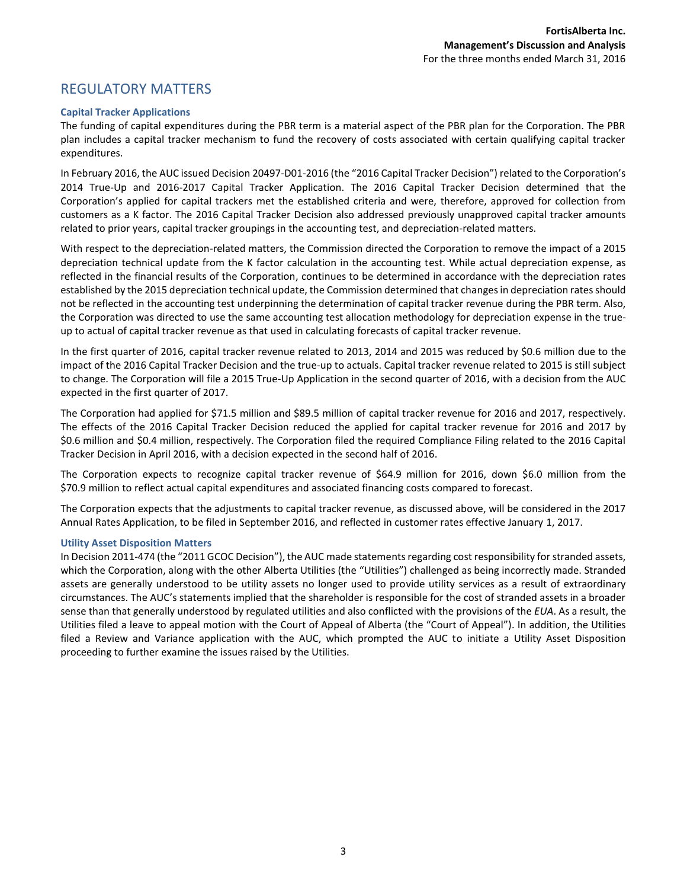### REGULATORY MATTERS

#### **Capital Tracker Applications**

The funding of capital expenditures during the PBR term is a material aspect of the PBR plan for the Corporation. The PBR plan includes a capital tracker mechanism to fund the recovery of costs associated with certain qualifying capital tracker expenditures.

In February 2016, the AUC issued Decision 20497-D01-2016 (the "2016 Capital Tracker Decision") related to the Corporation's 2014 True-Up and 2016-2017 Capital Tracker Application. The 2016 Capital Tracker Decision determined that the Corporation's applied for capital trackers met the established criteria and were, therefore, approved for collection from customers as a K factor. The 2016 Capital Tracker Decision also addressed previously unapproved capital tracker amounts related to prior years, capital tracker groupings in the accounting test, and depreciation-related matters.

With respect to the depreciation-related matters, the Commission directed the Corporation to remove the impact of a 2015 depreciation technical update from the K factor calculation in the accounting test. While actual depreciation expense, as reflected in the financial results of the Corporation, continues to be determined in accordance with the depreciation rates established by the 2015 depreciation technical update, the Commission determined that changes in depreciation rates should not be reflected in the accounting test underpinning the determination of capital tracker revenue during the PBR term. Also, the Corporation was directed to use the same accounting test allocation methodology for depreciation expense in the trueup to actual of capital tracker revenue as that used in calculating forecasts of capital tracker revenue.

In the first quarter of 2016, capital tracker revenue related to 2013, 2014 and 2015 was reduced by \$0.6 million due to the impact of the 2016 Capital Tracker Decision and the true-up to actuals. Capital tracker revenue related to 2015 is still subject to change. The Corporation will file a 2015 True-Up Application in the second quarter of 2016, with a decision from the AUC expected in the first quarter of 2017.

The Corporation had applied for \$71.5 million and \$89.5 million of capital tracker revenue for 2016 and 2017, respectively. The effects of the 2016 Capital Tracker Decision reduced the applied for capital tracker revenue for 2016 and 2017 by \$0.6 million and \$0.4 million, respectively. The Corporation filed the required Compliance Filing related to the 2016 Capital Tracker Decision in April 2016, with a decision expected in the second half of 2016.

The Corporation expects to recognize capital tracker revenue of \$64.9 million for 2016, down \$6.0 million from the \$70.9 million to reflect actual capital expenditures and associated financing costs compared to forecast.

The Corporation expects that the adjustments to capital tracker revenue, as discussed above, will be considered in the 2017 Annual Rates Application, to be filed in September 2016, and reflected in customer rates effective January 1, 2017.

#### **Utility Asset Disposition Matters**

In Decision 2011-474 (the "2011 GCOC Decision"), the AUC made statements regarding cost responsibility for stranded assets, which the Corporation, along with the other Alberta Utilities (the "Utilities") challenged as being incorrectly made. Stranded assets are generally understood to be utility assets no longer used to provide utility services as a result of extraordinary circumstances. The AUC's statements implied that the shareholder is responsible for the cost of stranded assets in a broader sense than that generally understood by regulated utilities and also conflicted with the provisions of the *EUA*. As a result, the Utilities filed a leave to appeal motion with the Court of Appeal of Alberta (the "Court of Appeal"). In addition, the Utilities filed a Review and Variance application with the AUC, which prompted the AUC to initiate a Utility Asset Disposition proceeding to further examine the issues raised by the Utilities.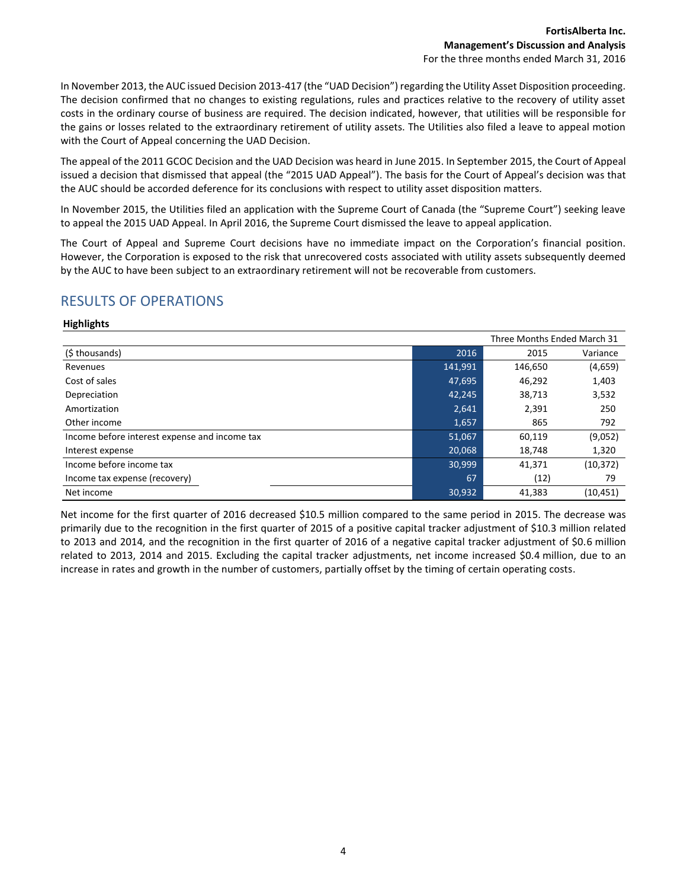In November 2013, the AUC issued Decision 2013-417 (the "UAD Decision") regarding the Utility Asset Disposition proceeding. The decision confirmed that no changes to existing regulations, rules and practices relative to the recovery of utility asset costs in the ordinary course of business are required. The decision indicated, however, that utilities will be responsible for the gains or losses related to the extraordinary retirement of utility assets. The Utilities also filed a leave to appeal motion with the Court of Appeal concerning the UAD Decision.

The appeal of the 2011 GCOC Decision and the UAD Decision was heard in June 2015. In September 2015, the Court of Appeal issued a decision that dismissed that appeal (the "2015 UAD Appeal"). The basis for the Court of Appeal's decision was that the AUC should be accorded deference for its conclusions with respect to utility asset disposition matters.

In November 2015, the Utilities filed an application with the Supreme Court of Canada (the "Supreme Court") seeking leave to appeal the 2015 UAD Appeal. In April 2016, the Supreme Court dismissed the leave to appeal application.

The Court of Appeal and Supreme Court decisions have no immediate impact on the Corporation's financial position. However, the Corporation is exposed to the risk that unrecovered costs associated with utility assets subsequently deemed by the AUC to have been subject to an extraordinary retirement will not be recoverable from customers.

# RESULTS OF OPERATIONS

#### **Highlights**

| Three Months Ended March 31                   |         |         |           |
|-----------------------------------------------|---------|---------|-----------|
| (\$ thousands)                                | 2016    | 2015    | Variance  |
| Revenues                                      | 141,991 | 146,650 | (4,659)   |
| Cost of sales                                 | 47,695  | 46,292  | 1,403     |
| Depreciation                                  | 42,245  | 38,713  | 3,532     |
| Amortization                                  | 2,641   | 2,391   | 250       |
| Other income                                  | 1,657   | 865     | 792       |
| Income before interest expense and income tax | 51,067  | 60,119  | (9,052)   |
| Interest expense                              | 20,068  | 18,748  | 1,320     |
| Income before income tax                      | 30,999  | 41,371  | (10, 372) |
| Income tax expense (recovery)                 | 67      | (12)    | 79        |
| Net income                                    | 30,932  | 41.383  | (10, 451) |

Net income for the first quarter of 2016 decreased \$10.5 million compared to the same period in 2015. The decrease was primarily due to the recognition in the first quarter of 2015 of a positive capital tracker adjustment of \$10.3 million related to 2013 and 2014, and the recognition in the first quarter of 2016 of a negative capital tracker adjustment of \$0.6 million related to 2013, 2014 and 2015. Excluding the capital tracker adjustments, net income increased \$0.4 million, due to an increase in rates and growth in the number of customers, partially offset by the timing of certain operating costs.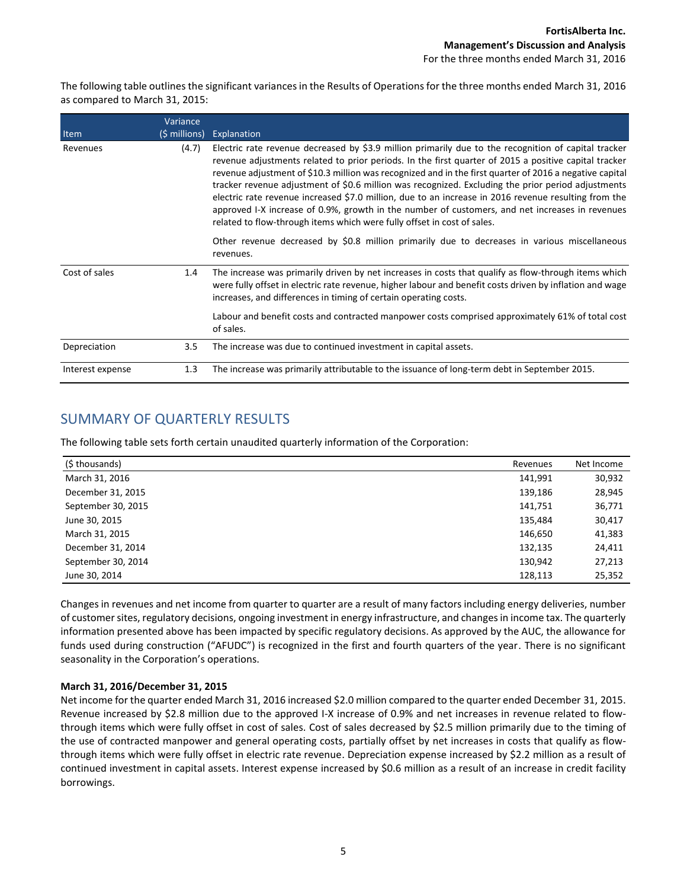The following table outlines the significant variances in the Results of Operations for the three months ended March 31, 2016 as compared to March 31, 2015:

|                  | Variance       |                                                                                                                                                                                                                                                                                                                                                                                                                                                                                                                                                                                                                                                                                                                      |
|------------------|----------------|----------------------------------------------------------------------------------------------------------------------------------------------------------------------------------------------------------------------------------------------------------------------------------------------------------------------------------------------------------------------------------------------------------------------------------------------------------------------------------------------------------------------------------------------------------------------------------------------------------------------------------------------------------------------------------------------------------------------|
| Item             | $(5$ millions) | Explanation                                                                                                                                                                                                                                                                                                                                                                                                                                                                                                                                                                                                                                                                                                          |
| Revenues         | (4.7)          | Electric rate revenue decreased by \$3.9 million primarily due to the recognition of capital tracker<br>revenue adjustments related to prior periods. In the first quarter of 2015 a positive capital tracker<br>revenue adjustment of \$10.3 million was recognized and in the first quarter of 2016 a negative capital<br>tracker revenue adjustment of \$0.6 million was recognized. Excluding the prior period adjustments<br>electric rate revenue increased \$7.0 million, due to an increase in 2016 revenue resulting from the<br>approved I-X increase of 0.9%, growth in the number of customers, and net increases in revenues<br>related to flow-through items which were fully offset in cost of sales. |
|                  |                | Other revenue decreased by \$0.8 million primarily due to decreases in various miscellaneous<br>revenues.                                                                                                                                                                                                                                                                                                                                                                                                                                                                                                                                                                                                            |
| Cost of sales    | 1.4            | The increase was primarily driven by net increases in costs that qualify as flow-through items which<br>were fully offset in electric rate revenue, higher labour and benefit costs driven by inflation and wage<br>increases, and differences in timing of certain operating costs.                                                                                                                                                                                                                                                                                                                                                                                                                                 |
|                  |                | Labour and benefit costs and contracted manpower costs comprised approximately 61% of total cost<br>of sales.                                                                                                                                                                                                                                                                                                                                                                                                                                                                                                                                                                                                        |
| Depreciation     | 3.5            | The increase was due to continued investment in capital assets.                                                                                                                                                                                                                                                                                                                                                                                                                                                                                                                                                                                                                                                      |
| Interest expense | 1.3            | The increase was primarily attributable to the issuance of long-term debt in September 2015.                                                                                                                                                                                                                                                                                                                                                                                                                                                                                                                                                                                                                         |

# SUMMARY OF QUARTERLY RESULTS

The following table sets forth certain unaudited quarterly information of the Corporation:

| (\$ thousands)     | Revenues | Net Income |
|--------------------|----------|------------|
| March 31, 2016     | 141,991  | 30,932     |
| December 31, 2015  | 139,186  | 28,945     |
| September 30, 2015 | 141,751  | 36,771     |
| June 30, 2015      | 135,484  | 30,417     |
| March 31, 2015     | 146,650  | 41,383     |
| December 31, 2014  | 132,135  | 24,411     |
| September 30, 2014 | 130,942  | 27,213     |
| June 30, 2014      | 128,113  | 25,352     |

Changes in revenues and net income from quarter to quarter are a result of many factors including energy deliveries, number of customer sites, regulatory decisions, ongoing investment in energy infrastructure, and changes in income tax. The quarterly information presented above has been impacted by specific regulatory decisions. As approved by the AUC, the allowance for funds used during construction ("AFUDC") is recognized in the first and fourth quarters of the year. There is no significant seasonality in the Corporation's operations.

#### **March 31, 2016/December 31, 2015**

Net income for the quarter ended March 31, 2016 increased \$2.0 million compared to the quarter ended December 31, 2015. Revenue increased by \$2.8 million due to the approved I-X increase of 0.9% and net increases in revenue related to flowthrough items which were fully offset in cost of sales. Cost of sales decreased by \$2.5 million primarily due to the timing of the use of contracted manpower and general operating costs, partially offset by net increases in costs that qualify as flowthrough items which were fully offset in electric rate revenue. Depreciation expense increased by \$2.2 million as a result of continued investment in capital assets. Interest expense increased by \$0.6 million as a result of an increase in credit facility borrowings.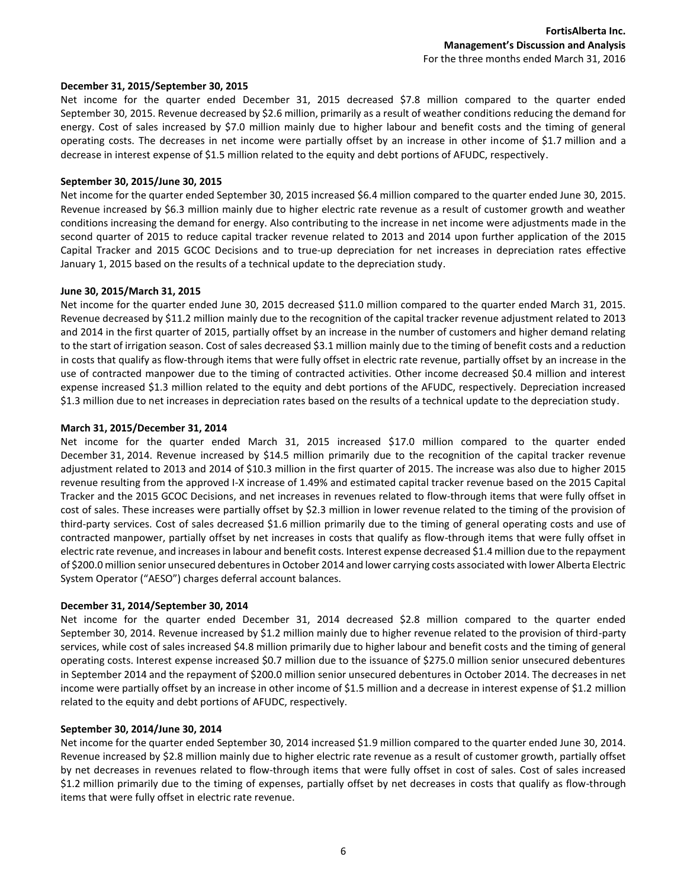#### **December 31, 2015/September 30, 2015**

Net income for the quarter ended December 31, 2015 decreased \$7.8 million compared to the quarter ended September 30, 2015. Revenue decreased by \$2.6 million, primarily as a result of weather conditions reducing the demand for energy. Cost of sales increased by \$7.0 million mainly due to higher labour and benefit costs and the timing of general operating costs. The decreases in net income were partially offset by an increase in other income of \$1.7 million and a decrease in interest expense of \$1.5 million related to the equity and debt portions of AFUDC, respectively.

#### **September 30, 2015/June 30, 2015**

Net income for the quarter ended September 30, 2015 increased \$6.4 million compared to the quarter ended June 30, 2015. Revenue increased by \$6.3 million mainly due to higher electric rate revenue as a result of customer growth and weather conditions increasing the demand for energy. Also contributing to the increase in net income were adjustments made in the second quarter of 2015 to reduce capital tracker revenue related to 2013 and 2014 upon further application of the 2015 Capital Tracker and 2015 GCOC Decisions and to true-up depreciation for net increases in depreciation rates effective January 1, 2015 based on the results of a technical update to the depreciation study.

#### **June 30, 2015/March 31, 2015**

Net income for the quarter ended June 30, 2015 decreased \$11.0 million compared to the quarter ended March 31, 2015. Revenue decreased by \$11.2 million mainly due to the recognition of the capital tracker revenue adjustment related to 2013 and 2014 in the first quarter of 2015, partially offset by an increase in the number of customers and higher demand relating to the start of irrigation season. Cost of sales decreased \$3.1 million mainly due to the timing of benefit costs and a reduction in costs that qualify as flow-through items that were fully offset in electric rate revenue, partially offset by an increase in the use of contracted manpower due to the timing of contracted activities. Other income decreased \$0.4 million and interest expense increased \$1.3 million related to the equity and debt portions of the AFUDC, respectively. Depreciation increased \$1.3 million due to net increases in depreciation rates based on the results of a technical update to the depreciation study.

#### **March 31, 2015/December 31, 2014**

Net income for the quarter ended March 31, 2015 increased \$17.0 million compared to the quarter ended December 31, 2014. Revenue increased by \$14.5 million primarily due to the recognition of the capital tracker revenue adjustment related to 2013 and 2014 of \$10.3 million in the first quarter of 2015. The increase was also due to higher 2015 revenue resulting from the approved I-X increase of 1.49% and estimated capital tracker revenue based on the 2015 Capital Tracker and the 2015 GCOC Decisions, and net increases in revenues related to flow-through items that were fully offset in cost of sales. These increases were partially offset by \$2.3 million in lower revenue related to the timing of the provision of third-party services. Cost of sales decreased \$1.6 million primarily due to the timing of general operating costs and use of contracted manpower, partially offset by net increases in costs that qualify as flow-through items that were fully offset in electric rate revenue, and increases in labour and benefit costs. Interest expense decreased \$1.4 million due to the repayment of \$200.0 million senior unsecured debentures in October 2014 and lower carrying costs associated with lower Alberta Electric System Operator ("AESO") charges deferral account balances.

#### **December 31, 2014/September 30, 2014**

Net income for the quarter ended December 31, 2014 decreased \$2.8 million compared to the quarter ended September 30, 2014. Revenue increased by \$1.2 million mainly due to higher revenue related to the provision of third-party services, while cost of sales increased \$4.8 million primarily due to higher labour and benefit costs and the timing of general operating costs. Interest expense increased \$0.7 million due to the issuance of \$275.0 million senior unsecured debentures in September 2014 and the repayment of \$200.0 million senior unsecured debentures in October 2014. The decreases in net income were partially offset by an increase in other income of \$1.5 million and a decrease in interest expense of \$1.2 million related to the equity and debt portions of AFUDC, respectively.

#### **September 30, 2014/June 30, 2014**

Net income for the quarter ended September 30, 2014 increased \$1.9 million compared to the quarter ended June 30, 2014. Revenue increased by \$2.8 million mainly due to higher electric rate revenue as a result of customer growth, partially offset by net decreases in revenues related to flow-through items that were fully offset in cost of sales. Cost of sales increased \$1.2 million primarily due to the timing of expenses, partially offset by net decreases in costs that qualify as flow-through items that were fully offset in electric rate revenue.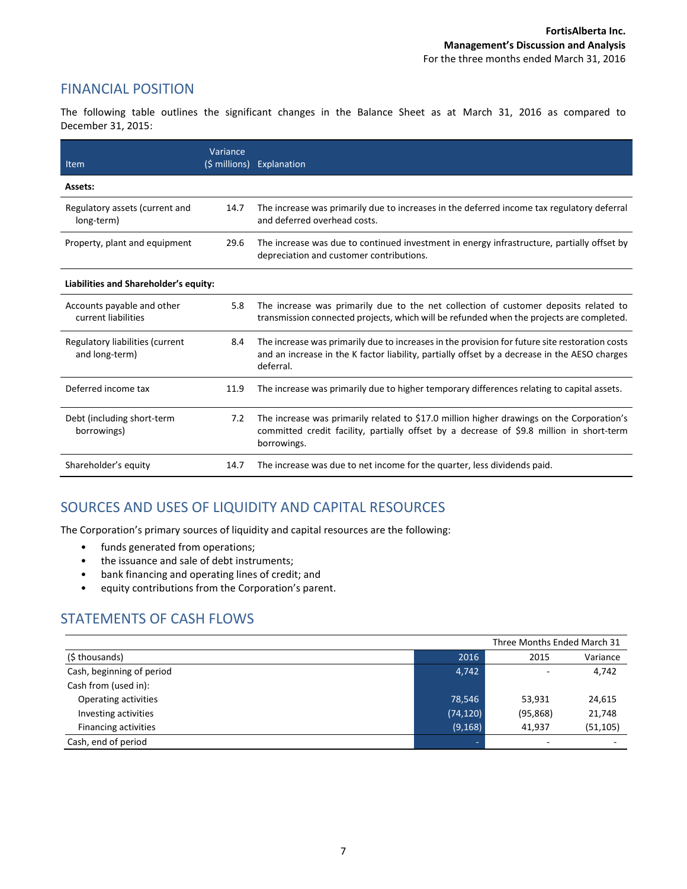### FINANCIAL POSITION

The following table outlines the significant changes in the Balance Sheet as at March 31, 2016 as compared to December 31, 2015:

| Item                                              | Variance | (\$ millions) Explanation                                                                                                                                                                                    |
|---------------------------------------------------|----------|--------------------------------------------------------------------------------------------------------------------------------------------------------------------------------------------------------------|
| Assets:                                           |          |                                                                                                                                                                                                              |
| Regulatory assets (current and<br>long-term)      | 14.7     | The increase was primarily due to increases in the deferred income tax regulatory deferral<br>and deferred overhead costs.                                                                                   |
| Property, plant and equipment                     | 29.6     | The increase was due to continued investment in energy infrastructure, partially offset by<br>depreciation and customer contributions.                                                                       |
| Liabilities and Shareholder's equity:             |          |                                                                                                                                                                                                              |
| Accounts payable and other<br>current liabilities | 5.8      | The increase was primarily due to the net collection of customer deposits related to<br>transmission connected projects, which will be refunded when the projects are completed.                             |
| Regulatory liabilities (current<br>and long-term) | 8.4      | The increase was primarily due to increases in the provision for future site restoration costs<br>and an increase in the K factor liability, partially offset by a decrease in the AESO charges<br>deferral. |
| Deferred income tax                               | 11.9     | The increase was primarily due to higher temporary differences relating to capital assets.                                                                                                                   |
| Debt (including short-term<br>borrowings)         | 7.2      | The increase was primarily related to \$17.0 million higher drawings on the Corporation's<br>committed credit facility, partially offset by a decrease of \$9.8 million in short-term<br>borrowings.         |
| Shareholder's equity                              | 14.7     | The increase was due to net income for the quarter, less dividends paid.                                                                                                                                     |

# SOURCES AND USES OF LIQUIDITY AND CAPITAL RESOURCES

The Corporation's primary sources of liquidity and capital resources are the following:

- funds generated from operations;
- the issuance and sale of debt instruments;
- bank financing and operating lines of credit; and
- equity contributions from the Corporation's parent.

# STATEMENTS OF CASH FLOWS

|                             |           | Three Months Ended March 31 |           |
|-----------------------------|-----------|-----------------------------|-----------|
| (\$ thousands)              | 2016      | 2015                        | Variance  |
| Cash, beginning of period   | 4,742     | $\overline{\phantom{a}}$    | 4,742     |
| Cash from (used in):        |           |                             |           |
| Operating activities        | 78,546    | 53,931                      | 24,615    |
| Investing activities        | (74, 120) | (95, 868)                   | 21,748    |
| <b>Financing activities</b> | (9, 168)  | 41.937                      | (51, 105) |
| Cash, end of period         |           | $\overline{\phantom{a}}$    | -         |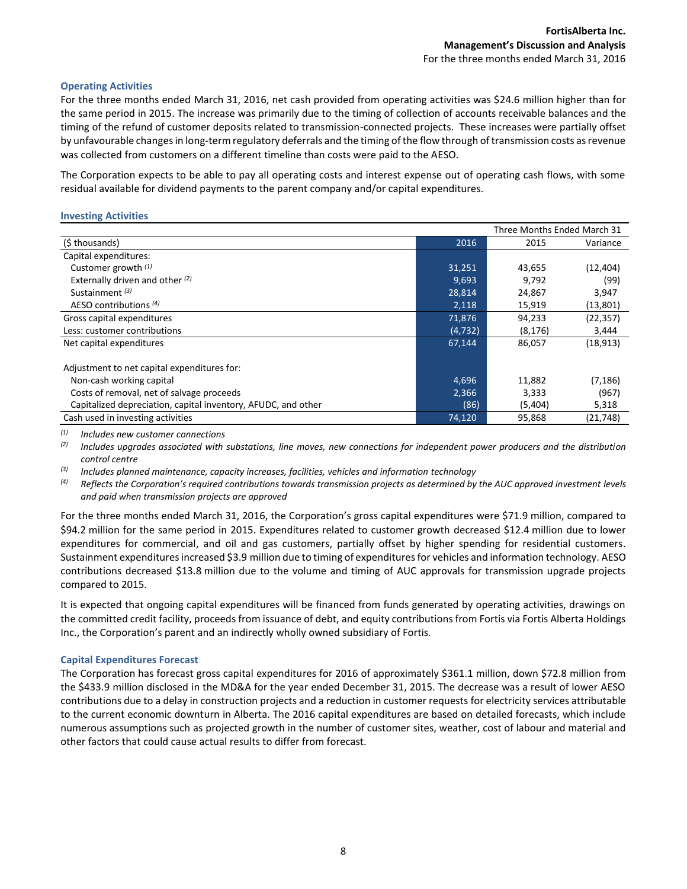#### **Operating Activities**

For the three months ended March 31, 2016, net cash provided from operating activities was \$24.6 million higher than for the same period in 2015. The increase was primarily due to the timing of collection of accounts receivable balances and the timing of the refund of customer deposits related to transmission-connected projects. These increases were partially offset by unfavourable changes in long-term regulatory deferrals and the timing of the flow through of transmission costs as revenue was collected from customers on a different timeline than costs were paid to the AESO.

The Corporation expects to be able to pay all operating costs and interest expense out of operating cash flows, with some residual available for dividend payments to the parent company and/or capital expenditures.

#### **Investing Activities**

|                                                               |          | Three Months Ended March 31 |           |
|---------------------------------------------------------------|----------|-----------------------------|-----------|
| (\$thousands)                                                 | 2016     | 2015                        | Variance  |
| Capital expenditures:                                         |          |                             |           |
| Customer growth $(1)$                                         | 31,251   | 43,655                      | (12, 404) |
| Externally driven and other (2)                               | 9,693    | 9,792                       | (99)      |
| Sustainment <sup>(3)</sup>                                    | 28,814   | 24,867                      | 3,947     |
| AESO contributions (4)                                        | 2,118    | 15,919                      | (13,801)  |
| Gross capital expenditures                                    | 71.876   | 94,233                      | (22, 357) |
| Less: customer contributions                                  | (4, 732) | (8, 176)                    | 3,444     |
| Net capital expenditures                                      | 67.144   | 86,057                      | (18, 913) |
|                                                               |          |                             |           |
| Adjustment to net capital expenditures for:                   |          |                             |           |
| Non-cash working capital                                      | 4,696    | 11,882                      | (7, 186)  |
| Costs of removal, net of salvage proceeds                     | 2,366    | 3,333                       | (967)     |
| Capitalized depreciation, capital inventory, AFUDC, and other | (86)     | (5,404)                     | 5,318     |
| Cash used in investing activities                             | 74,120   | 95,868                      | (21, 748) |

*(1) Includes new customer connections*

*(2) Includes upgrades associated with substations, line moves, new connections for independent power producers and the distribution control centre*

*(3) Includes planned maintenance, capacity increases, facilities, vehicles and information technology*

<sup>(4)</sup> Reflects the Corporation's required contributions towards transmission projects as determined by the AUC approved investment levels *and paid when transmission projects are approved*

For the three months ended March 31, 2016, the Corporation's gross capital expenditures were \$71.9 million, compared to \$94.2 million for the same period in 2015. Expenditures related to customer growth decreased \$12.4 million due to lower expenditures for commercial, and oil and gas customers, partially offset by higher spending for residential customers. Sustainment expenditures increased \$3.9 million due to timing of expenditures for vehicles and information technology. AESO contributions decreased \$13.8 million due to the volume and timing of AUC approvals for transmission upgrade projects compared to 2015.

It is expected that ongoing capital expenditures will be financed from funds generated by operating activities, drawings on the committed credit facility, proceeds from issuance of debt, and equity contributions from Fortis via Fortis Alberta Holdings Inc., the Corporation's parent and an indirectly wholly owned subsidiary of Fortis.

#### **Capital Expenditures Forecast**

The Corporation has forecast gross capital expenditures for 2016 of approximately \$361.1 million, down \$72.8 million from the \$433.9 million disclosed in the MD&A for the year ended December 31, 2015. The decrease was a result of lower AESO contributions due to a delay in construction projects and a reduction in customer requests for electricity services attributable to the current economic downturn in Alberta. The 2016 capital expenditures are based on detailed forecasts, which include numerous assumptions such as projected growth in the number of customer sites, weather, cost of labour and material and other factors that could cause actual results to differ from forecast.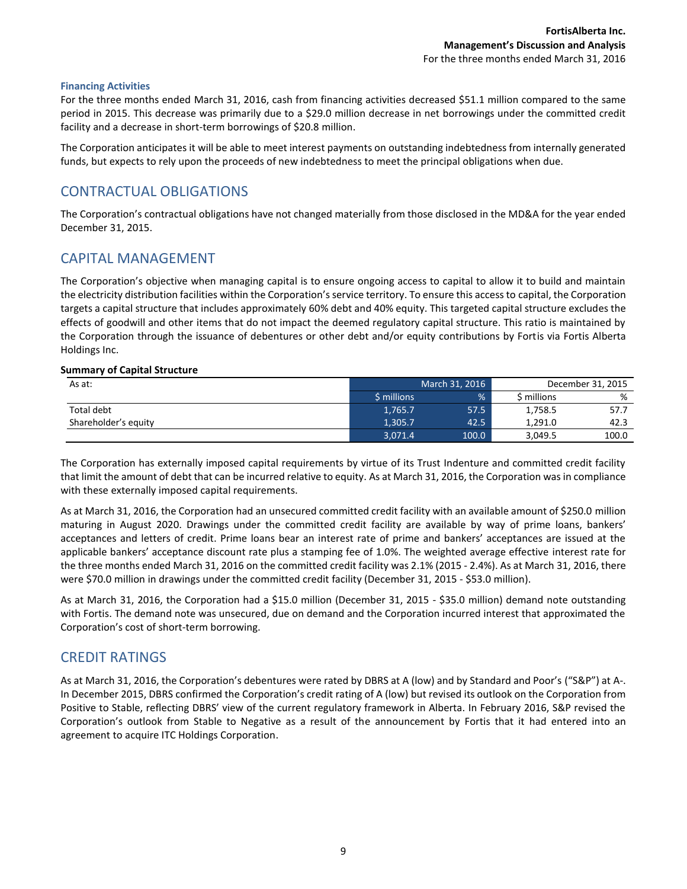#### **Financing Activities**

For the three months ended March 31, 2016, cash from financing activities decreased \$51.1 million compared to the same period in 2015. This decrease was primarily due to a \$29.0 million decrease in net borrowings under the committed credit facility and a decrease in short-term borrowings of \$20.8 million.

The Corporation anticipates it will be able to meet interest payments on outstanding indebtedness from internally generated funds, but expects to rely upon the proceeds of new indebtedness to meet the principal obligations when due.

### CONTRACTUAL OBLIGATIONS

The Corporation's contractual obligations have not changed materially from those disclosed in the MD&A for the year ended December 31, 2015.

### CAPITAL MANAGEMENT

The Corporation's objective when managing capital is to ensure ongoing access to capital to allow it to build and maintain the electricity distribution facilities within the Corporation's service territory. To ensure this access to capital, the Corporation targets a capital structure that includes approximately 60% debt and 40% equity. This targeted capital structure excludes the effects of goodwill and other items that do not impact the deemed regulatory capital structure. This ratio is maintained by the Corporation through the issuance of debentures or other debt and/or equity contributions by Fortis via Fortis Alberta Holdings Inc.

#### **Summary of Capital Structure**

| As at:               |             | March 31, 2016 | December 31, 2015 |       |
|----------------------|-------------|----------------|-------------------|-------|
|                      | \$ millions | %              | S millions        | %     |
| Total debt           | 1,765.7     | 57.5           | 1,758.5           | 57.7  |
| Shareholder's equity | 1,305.7     | 42.5           | 1.291.0           | 42.3  |
|                      | 3,071.4     | 100.0          | 3,049.5           | 100.0 |

The Corporation has externally imposed capital requirements by virtue of its Trust Indenture and committed credit facility that limit the amount of debt that can be incurred relative to equity. As at March 31, 2016, the Corporation was in compliance with these externally imposed capital requirements.

As at March 31, 2016, the Corporation had an unsecured committed credit facility with an available amount of \$250.0 million maturing in August 2020. Drawings under the committed credit facility are available by way of prime loans, bankers' acceptances and letters of credit. Prime loans bear an interest rate of prime and bankers' acceptances are issued at the applicable bankers' acceptance discount rate plus a stamping fee of 1.0%. The weighted average effective interest rate for the three months ended March 31, 2016 on the committed credit facility was 2.1% (2015 - 2.4%). As at March 31, 2016, there were \$70.0 million in drawings under the committed credit facility (December 31, 2015 - \$53.0 million).

As at March 31, 2016, the Corporation had a \$15.0 million (December 31, 2015 - \$35.0 million) demand note outstanding with Fortis. The demand note was unsecured, due on demand and the Corporation incurred interest that approximated the Corporation's cost of short-term borrowing.

### CREDIT RATINGS

As at March 31, 2016, the Corporation's debentures were rated by DBRS at A (low) and by Standard and Poor's ("S&P") at A-. In December 2015, DBRS confirmed the Corporation's credit rating of A (low) but revised its outlook on the Corporation from Positive to Stable, reflecting DBRS' view of the current regulatory framework in Alberta. In February 2016, S&P revised the Corporation's outlook from Stable to Negative as a result of the announcement by Fortis that it had entered into an agreement to acquire ITC Holdings Corporation.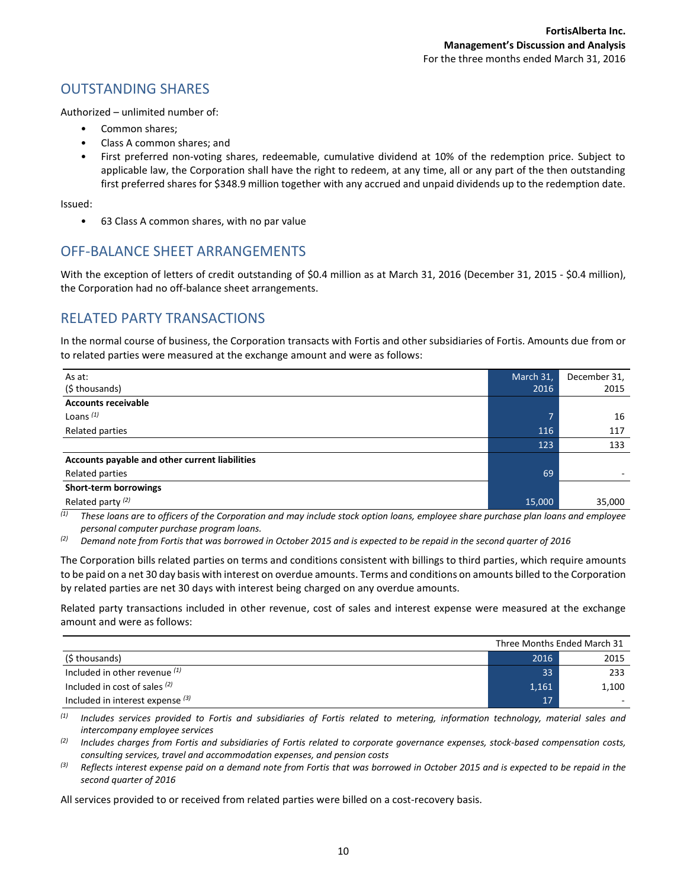### OUTSTANDING SHARES

Authorized – unlimited number of:

- Common shares;
- Class A common shares; and
- First preferred non-voting shares, redeemable, cumulative dividend at 10% of the redemption price. Subject to applicable law, the Corporation shall have the right to redeem, at any time, all or any part of the then outstanding first preferred shares for \$348.9 million together with any accrued and unpaid dividends up to the redemption date.

Issued:

• 63 Class A common shares, with no par value

# OFF-BALANCE SHEET ARRANGEMENTS

With the exception of letters of credit outstanding of \$0.4 million as at March 31, 2016 (December 31, 2015 - \$0.4 million), the Corporation had no off-balance sheet arrangements.

### RELATED PARTY TRANSACTIONS

In the normal course of business, the Corporation transacts with Fortis and other subsidiaries of Fortis. Amounts due from or to related parties were measured at the exchange amount and were as follows:

| As at:                                         | March 31, | December 31, |
|------------------------------------------------|-----------|--------------|
| (\$ thousands)                                 | 2016      | 2015         |
| <b>Accounts receivable</b>                     |           |              |
| Loans $(1)$                                    | 7         | 16           |
| Related parties                                | 116       | 117          |
|                                                | 123       | 133          |
| Accounts payable and other current liabilities |           |              |
| Related parties                                | 69        |              |
| Short-term borrowings                          |           |              |
| Related party <sup>(2)</sup>                   | 15,000    | 35,000       |

*(1) These loans are to officers of the Corporation and may include stock option loans, employee share purchase plan loans and employee personal computer purchase program loans.*

*(2) Demand note from Fortis that was borrowed in October 2015 and is expected to be repaid in the second quarter of 2016*

The Corporation bills related parties on terms and conditions consistent with billings to third parties, which require amounts to be paid on a net 30 day basis with interest on overdue amounts. Terms and conditions on amounts billed to the Corporation by related parties are net 30 days with interest being charged on any overdue amounts.

Related party transactions included in other revenue, cost of sales and interest expense were measured at the exchange amount and were as follows:

|                                    |       | Three Months Ended March 31 |
|------------------------------------|-------|-----------------------------|
| (\$ thousands)                     | 2016  | 2015                        |
| Included in other revenue $(1)$    | 33    | 233                         |
| Included in cost of sales $(2)$    | 1,161 | 1,100                       |
| Included in interest expense $(3)$ | 17    |                             |

*(1) Includes services provided to Fortis and subsidiaries of Fortis related to metering, information technology, material sales and intercompany employee services*

*(2) Includes charges from Fortis and subsidiaries of Fortis related to corporate governance expenses, stock-based compensation costs, consulting services, travel and accommodation expenses, and pension costs*

*(3) Reflects interest expense paid on a demand note from Fortis that was borrowed in October 2015 and is expected to be repaid in the second quarter of 2016*

All services provided to or received from related parties were billed on a cost-recovery basis.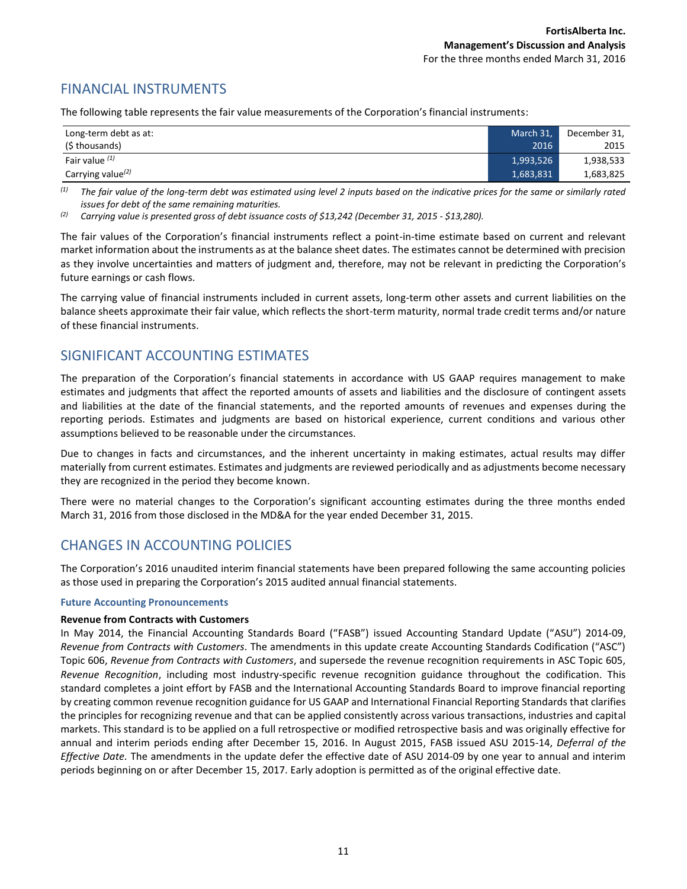# FINANCIAL INSTRUMENTS

The following table represents the fair value measurements of the Corporation's financial instruments:

| Long-term debt as at:         | March 31, | December 31, |
|-------------------------------|-----------|--------------|
| (\$ thousands)                | 2016      | 2015         |
| Fair value $(1)$              | 1,993,526 | 1,938,533    |
| Carrying value <sup>(2)</sup> | 1,683,831 | 1,683,825    |

*(1) The fair value of the long-term debt was estimated using level 2 inputs based on the indicative prices for the same or similarly rated issues for debt of the same remaining maturities.*

*(2) Carrying value is presented gross of debt issuance costs of \$13,242 (December 31, 2015 - \$13,280).*

The fair values of the Corporation's financial instruments reflect a point-in-time estimate based on current and relevant market information about the instruments as at the balance sheet dates. The estimates cannot be determined with precision as they involve uncertainties and matters of judgment and, therefore, may not be relevant in predicting the Corporation's future earnings or cash flows.

The carrying value of financial instruments included in current assets, long-term other assets and current liabilities on the balance sheets approximate their fair value, which reflects the short-term maturity, normal trade credit terms and/or nature of these financial instruments.

### SIGNIFICANT ACCOUNTING ESTIMATES

The preparation of the Corporation's financial statements in accordance with US GAAP requires management to make estimates and judgments that affect the reported amounts of assets and liabilities and the disclosure of contingent assets and liabilities at the date of the financial statements, and the reported amounts of revenues and expenses during the reporting periods. Estimates and judgments are based on historical experience, current conditions and various other assumptions believed to be reasonable under the circumstances.

Due to changes in facts and circumstances, and the inherent uncertainty in making estimates, actual results may differ materially from current estimates. Estimates and judgments are reviewed periodically and as adjustments become necessary they are recognized in the period they become known.

There were no material changes to the Corporation's significant accounting estimates during the three months ended March 31, 2016 from those disclosed in the MD&A for the year ended December 31, 2015.

### CHANGES IN ACCOUNTING POLICIES

The Corporation's 2016 unaudited interim financial statements have been prepared following the same accounting policies as those used in preparing the Corporation's 2015 audited annual financial statements.

#### **Future Accounting Pronouncements**

#### **Revenue from Contracts with Customers**

In May 2014, the Financial Accounting Standards Board ("FASB") issued Accounting Standard Update ("ASU") 2014-09, *Revenue from Contracts with Customers*. The amendments in this update create Accounting Standards Codification ("ASC") Topic 606, *Revenue from Contracts with Customers*, and supersede the revenue recognition requirements in ASC Topic 605, *Revenue Recognition*, including most industry-specific revenue recognition guidance throughout the codification. This standard completes a joint effort by FASB and the International Accounting Standards Board to improve financial reporting by creating common revenue recognition guidance for US GAAP and International Financial Reporting Standards that clarifies the principles for recognizing revenue and that can be applied consistently across various transactions, industries and capital markets. This standard is to be applied on a full retrospective or modified retrospective basis and was originally effective for annual and interim periods ending after December 15, 2016. In August 2015, FASB issued ASU 2015-14, *Deferral of the Effective Date.* The amendments in the update defer the effective date of ASU 2014-09 by one year to annual and interim periods beginning on or after December 15, 2017. Early adoption is permitted as of the original effective date.